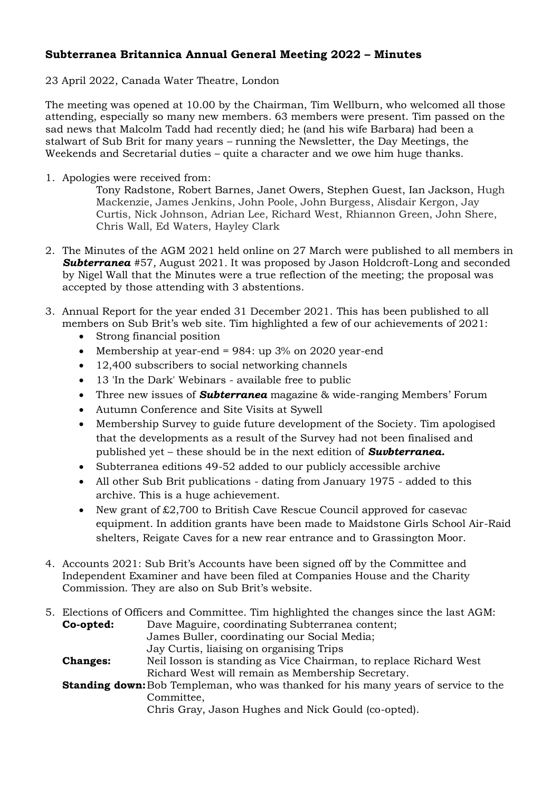## **Subterranea Britannica Annual General Meeting 2022 – Minutes**

## 23 April 2022, Canada Water Theatre, London

The meeting was opened at 10.00 by the Chairman, Tim Wellburn, who welcomed all those attending, especially so many new members. 63 members were present. Tim passed on the sad news that Malcolm Tadd had recently died; he (and his wife Barbara) had been a stalwart of Sub Brit for many years – running the Newsletter, the Day Meetings, the Weekends and Secretarial duties – quite a character and we owe him huge thanks.

1. Apologies were received from:

Tony Radstone, Robert Barnes, Janet Owers, Stephen Guest, Ian Jackson, Hugh Mackenzie, James Jenkins, John Poole, John Burgess, Alisdair Kergon, Jay Curtis, Nick Johnson, Adrian Lee, Richard West, Rhiannon Green, John Shere, Chris Wall, Ed Waters, Hayley Clark

- 2. The Minutes of the AGM 2021 held online on 27 March were published to all members in *Subterranea* #57*,* August 2021*.* It was proposed by Jason Holdcroft-Long and seconded by Nigel Wall that the Minutes were a true reflection of the meeting; the proposal was accepted by those attending with 3 abstentions.
- 3. Annual Report for the year ended 31 December 2021. This has been published to all members on Sub Brit's web site. Tim highlighted a few of our achievements of 2021:
	- Strong financial position
	- Membership at year-end =  $984$ : up  $3\%$  on  $2020$  year-end
	- 12,400 subscribers to social networking channels
	- 13 'In the Dark' Webinars available free to public
	- Three new issues of *Subterranea* magazine & wide-ranging Members' Forum
	- Autumn Conference and Site Visits at Sywell
	- Membership Survey to guide future development of the Society. Tim apologised that the developments as a result of the Survey had not been finalised and published yet – these should be in the next edition of *Suvbterranea.*
	- Subterranea editions 49-52 added to our publicly accessible archive
	- All other Sub Brit publications dating from January 1975 added to this archive. This is a huge achievement.
	- New grant of £2,700 to British Cave Rescue Council approved for casevac equipment. In addition grants have been made to Maidstone Girls School Air-Raid shelters, Reigate Caves for a new rear entrance and to Grassington Moor.
- 4. Accounts 2021: Sub Brit's Accounts have been signed off by the Committee and Independent Examiner and have been filed at Companies House and the Charity Commission. They are also on Sub Brit's website.

|                 | 5. Elections of Officers and Committee. Tim highlighted the changes since the last AGM:                                                                                                             |
|-----------------|-----------------------------------------------------------------------------------------------------------------------------------------------------------------------------------------------------|
| Co-opted:       | Dave Maguire, coordinating Subterranea content;                                                                                                                                                     |
|                 | James Buller, coordinating our Social Media;                                                                                                                                                        |
|                 | Jay Curtis, liaising on organising Trips                                                                                                                                                            |
| <b>Changes:</b> | Neil Iosson is standing as Vice Chairman, to replace Richard West                                                                                                                                   |
|                 | Richard West will remain as Membership Secretary.                                                                                                                                                   |
|                 | <b>Standing down:</b> Bob Templeman, who was thanked for his many years of service to the                                                                                                           |
|                 | Committee,                                                                                                                                                                                          |
|                 | $\bigcap_{i=1}^{n}$ , $\bigcap_{i=1}^{n}$ , $\bigcap_{i=1}^{n}$ , $\bigcap_{i=1}^{n}$ , $\bigcap_{i=1}^{n}$ , $\bigcap_{i=1}^{n}$ , $\bigcap_{i=1}^{n}$ , $\bigcap_{i=1}^{n}$ , $\bigcap_{i=1}^{n}$ |

Chris Gray, Jason Hughes and Nick Gould (co-opted).